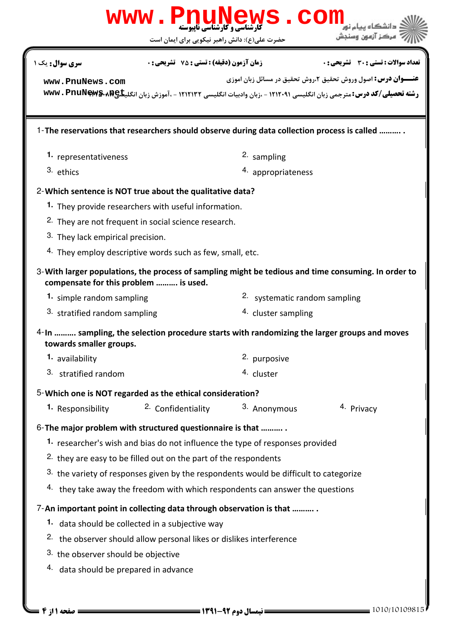|                                       | WWW.PnuNews.com                                                                             |                               |                                                                                                                                                                                                  |  |  |
|---------------------------------------|---------------------------------------------------------------------------------------------|-------------------------------|--------------------------------------------------------------------------------------------------------------------------------------------------------------------------------------------------|--|--|
|                                       | حضرت علی(ع): دانش راهبر نیکویی برای ایمان است                                               |                               | مركز آزمون وسنجش                                                                                                                                                                                 |  |  |
| <b>سری سوال :</b> یک ۱                | <b>زمان آزمون (دقیقه) : تستی : 75 ٪ تشریحی : 0</b>                                          |                               | تعداد سوالات : تستى : 30 - تشريحي : 0                                                                                                                                                            |  |  |
| www.PnuNews.com                       |                                                                                             |                               | <b>عنـــوان درس:</b> اصول وروش تحقیق ۲،روش تحقیق در مسائل زبان اموزی<br>رشته تحصیلی/کد درس: مترجمی زبان انگلیسی ۱۲۱۲۰۹۱ - ،زبان وادبیات انگلیسی ۱۲۱۲۱۳۲ - ،آموزش زبان انگلیتله؟**** www . PnuNew |  |  |
|                                       | 1-The reservations that researchers should observe during data collection process is called |                               |                                                                                                                                                                                                  |  |  |
| 1. representativeness                 |                                                                                             | 2. sampling                   |                                                                                                                                                                                                  |  |  |
| 3. ethics                             |                                                                                             | 4. appropriateness            |                                                                                                                                                                                                  |  |  |
|                                       | 2- Which sentence is NOT true about the qualitative data?                                   |                               |                                                                                                                                                                                                  |  |  |
|                                       | 1. They provide researchers with useful information.                                        |                               |                                                                                                                                                                                                  |  |  |
|                                       | <sup>2.</sup> They are not frequent in social science research.                             |                               |                                                                                                                                                                                                  |  |  |
| 3. They lack empirical precision.     |                                                                                             |                               |                                                                                                                                                                                                  |  |  |
|                                       | <sup>4.</sup> They employ descriptive words such as few, small, etc.                        |                               |                                                                                                                                                                                                  |  |  |
| compensate for this problem  is used. |                                                                                             |                               | 3-With larger populations, the process of sampling might be tedious and time consuming. In order to                                                                                              |  |  |
| 1. simple random sampling             |                                                                                             | 2. systematic random sampling |                                                                                                                                                                                                  |  |  |
| 3. stratified random sampling         |                                                                                             | 4. cluster sampling           |                                                                                                                                                                                                  |  |  |
| towards smaller groups.               | 4-In  sampling, the selection procedure starts with randomizing the larger groups and moves |                               |                                                                                                                                                                                                  |  |  |
| 1. availability                       |                                                                                             | 2. purposive                  |                                                                                                                                                                                                  |  |  |
| 3. stratified random                  |                                                                                             | 4. cluster                    |                                                                                                                                                                                                  |  |  |
|                                       | 5-Which one is NOT regarded as the ethical consideration?                                   |                               |                                                                                                                                                                                                  |  |  |
| 1. Responsibility                     | 2. Confidentiality                                                                          | 3. Anonymous                  | 4. Privacy                                                                                                                                                                                       |  |  |
|                                       | 6- The major problem with structured questionnaire is that                                  |                               |                                                                                                                                                                                                  |  |  |
|                                       | 1. researcher's wish and bias do not influence the type of responses provided               |                               |                                                                                                                                                                                                  |  |  |
|                                       | <sup>2.</sup> they are easy to be filled out on the part of the respondents                 |                               |                                                                                                                                                                                                  |  |  |
|                                       | 3. the variety of responses given by the respondents would be difficult to categorize       |                               |                                                                                                                                                                                                  |  |  |
|                                       | 4. they take away the freedom with which respondents can answer the questions               |                               |                                                                                                                                                                                                  |  |  |
|                                       | 7-An important point in collecting data through observation is that                         |                               |                                                                                                                                                                                                  |  |  |
|                                       | 1. data should be collected in a subjective way                                             |                               |                                                                                                                                                                                                  |  |  |
|                                       | <sup>2.</sup> the observer should allow personal likes or dislikes interference             |                               |                                                                                                                                                                                                  |  |  |
| 3. the observer should be objective   |                                                                                             |                               |                                                                                                                                                                                                  |  |  |
| 4. data should be prepared in advance |                                                                                             |                               |                                                                                                                                                                                                  |  |  |
|                                       |                                                                                             |                               |                                                                                                                                                                                                  |  |  |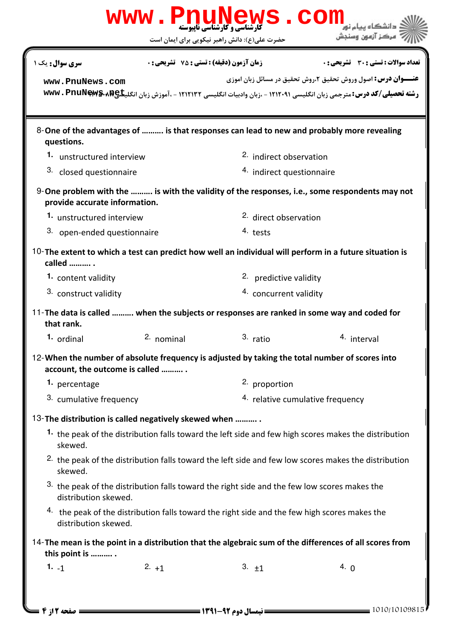|                                                      |                                | <b>گارشناسی و کارشناسی نابیوسته</b><br>حضرت علی(ع): دانش راهبر نیکویی برای ایمان است                            | COI<br>مركز آزمون وسنجش                                                                                                                                                                                  |  |  |
|------------------------------------------------------|--------------------------------|-----------------------------------------------------------------------------------------------------------------|----------------------------------------------------------------------------------------------------------------------------------------------------------------------------------------------------------|--|--|
| <b>سری سوال :</b> یک ۱                               |                                | <b>زمان آزمون (دقیقه) : تستی : 75 ٪ تشریحی : 0</b>                                                              | <b>تعداد سوالات : تستی : 30 ٪ تشریحی : 0</b>                                                                                                                                                             |  |  |
| www.PnuNews.com                                      |                                |                                                                                                                 | <b>عنـــوان درس:</b> اصول وروش تحقیق ۲،روش تحقیق در مسائل زبان اموزی<br>رشته تحصیلی/کد درس: مترجمی زبان انگلیسی ۱۲۱۲۰۹۱ - ،زبان وادبیات انگلیسی ۱۲۱۲۱۳۲ - ،آموزش زبان انگلی <del>تا&amp;wwv . PnuN</del> |  |  |
| questions.                                           |                                | 8-One of the advantages of  is that responses can lead to new and probably more revealing                       |                                                                                                                                                                                                          |  |  |
| 1. unstructured interview                            |                                | <sup>2.</sup> indirect observation                                                                              |                                                                                                                                                                                                          |  |  |
|                                                      | 3. closed questionnaire        |                                                                                                                 | 4. indirect questionnaire                                                                                                                                                                                |  |  |
| provide accurate information.                        |                                |                                                                                                                 | $9$ -One problem with the $$ is with the validity of the responses, i.e., some respondents may not                                                                                                       |  |  |
| 1. unstructured interview                            |                                |                                                                                                                 | <sup>2.</sup> direct observation                                                                                                                                                                         |  |  |
| 3. open-ended questionnaire                          |                                | 4. tests                                                                                                        |                                                                                                                                                                                                          |  |  |
| called  .                                            |                                | 10-The extent to which a test can predict how well an individual will perform in a future situation is          |                                                                                                                                                                                                          |  |  |
| 1. content validity                                  |                                |                                                                                                                 | 2. predictive validity                                                                                                                                                                                   |  |  |
|                                                      | 3. construct validity          |                                                                                                                 | 4. concurrent validity                                                                                                                                                                                   |  |  |
| that rank.                                           |                                | 11-The data is called  when the subjects or responses are ranked in some way and coded for                      |                                                                                                                                                                                                          |  |  |
| 1. ordinal                                           | 2. nominal                     | 3. ratio                                                                                                        | 4. interval                                                                                                                                                                                              |  |  |
|                                                      | account, the outcome is called | 12-When the number of absolute frequency is adjusted by taking the total number of scores into                  |                                                                                                                                                                                                          |  |  |
| <sup>1.</sup> percentage                             |                                | 2. proportion                                                                                                   |                                                                                                                                                                                                          |  |  |
|                                                      | 3. cumulative frequency        |                                                                                                                 | 4. relative cumulative frequency                                                                                                                                                                         |  |  |
| 13-The distribution is called negatively skewed when |                                |                                                                                                                 |                                                                                                                                                                                                          |  |  |
| skewed.                                              |                                | 1. the peak of the distribution falls toward the left side and few high scores makes the distribution           |                                                                                                                                                                                                          |  |  |
| skewed.                                              |                                | <sup>2.</sup> the peak of the distribution falls toward the left side and few low scores makes the distribution |                                                                                                                                                                                                          |  |  |
| distribution skewed.                                 |                                | 3. the peak of the distribution falls toward the right side and the few low scores makes the                    |                                                                                                                                                                                                          |  |  |
| distribution skewed.                                 |                                | 4. the peak of the distribution falls toward the right side and the few high scores makes the                   |                                                                                                                                                                                                          |  |  |
| this point is                                        |                                | 14-The mean is the point in a distribution that the algebraic sum of the differences of all scores from         |                                                                                                                                                                                                          |  |  |
| $1. -1$                                              | $2. +1$                        | 3. $\pm 1$                                                                                                      | 4. $\theta$                                                                                                                                                                                              |  |  |
| صفحه 2 از 4 =                                        |                                | <b>= نیمسال دوم ۹۲-۱۳۹۱ <del>-----</del></b>                                                                    | $= 1010/10109815$                                                                                                                                                                                        |  |  |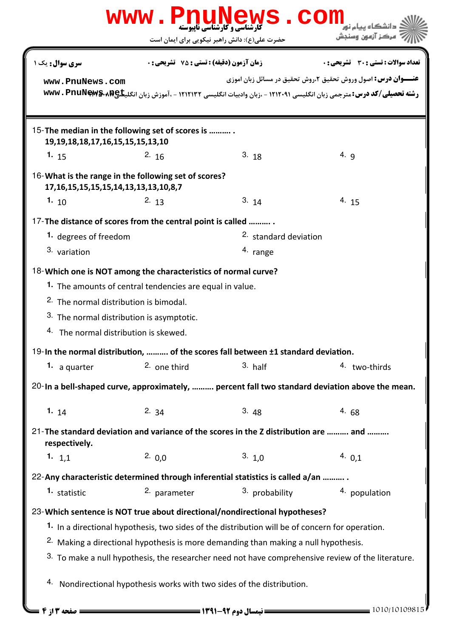|                                                                                                                                                         | <b>WWW.PNUI</b>                                    | <b>گارشناسی و کارشناسی ناپیوسته</b><br>حضرت علی(ع): دانش راهبر نیکویی برای ایمان است                                                                                                                                                                                            | COM<br>مركز آزمون وسنجش                                                                                                                                                                  |  |  |
|---------------------------------------------------------------------------------------------------------------------------------------------------------|----------------------------------------------------|---------------------------------------------------------------------------------------------------------------------------------------------------------------------------------------------------------------------------------------------------------------------------------|------------------------------------------------------------------------------------------------------------------------------------------------------------------------------------------|--|--|
| <b>سری سوال :</b> یک ۱                                                                                                                                  | <b>زمان آزمون (دقیقه) : تستی : 75 ٪ تشریحی : 0</b> |                                                                                                                                                                                                                                                                                 | <b>تعداد سوالات : تستی : 30 ٪ تشریحی : 0</b>                                                                                                                                             |  |  |
| www.PnuNews.com                                                                                                                                         |                                                    |                                                                                                                                                                                                                                                                                 | <b>عنـــوان درس:</b> اصول وروش تحقیق ۲،روش تحقیق در مسائل زبان اموزی<br>رشته تحصیلی/کد درس: مترجمی زبان انگلیسی ۱۲۱۲۰۹۱ - ،زبان وادبیات انگلیسی ۱۲۱۲۱۳۲ - .آموزش زبان انگلیتا&wwv . PnuN |  |  |
| 15-The median in the following set of scores is<br>19, 19, 18, 18, 17, 16, 15, 15, 15, 13, 10                                                           |                                                    |                                                                                                                                                                                                                                                                                 |                                                                                                                                                                                          |  |  |
| 1. $15$                                                                                                                                                 | 2.16                                               | 3.18                                                                                                                                                                                                                                                                            | 4. $q$                                                                                                                                                                                   |  |  |
| 16-What is the range in the following set of scores?<br>17, 16, 15, 15, 15, 15, 14, 13, 13, 13, 10, 8, 7                                                |                                                    |                                                                                                                                                                                                                                                                                 |                                                                                                                                                                                          |  |  |
| 1. $10$                                                                                                                                                 | 2.13                                               | 3.14                                                                                                                                                                                                                                                                            | 4.15                                                                                                                                                                                     |  |  |
| 17-The distance of scores from the central point is called                                                                                              |                                                    |                                                                                                                                                                                                                                                                                 |                                                                                                                                                                                          |  |  |
| 1. degrees of freedom                                                                                                                                   |                                                    |                                                                                                                                                                                                                                                                                 | <sup>2.</sup> standard deviation                                                                                                                                                         |  |  |
| 3. variation                                                                                                                                            |                                                    | 4. range                                                                                                                                                                                                                                                                        |                                                                                                                                                                                          |  |  |
| <sup>2.</sup> The normal distribution is bimodal.<br>3. The normal distribution is asymptotic.<br>4. The normal distribution is skewed.<br>1. a quarter | 2. one third                                       | 19-In the normal distribution,  of the scores fall between $\pm 1$ standard deviation.<br>$3.$ half                                                                                                                                                                             | 4. two-thirds                                                                                                                                                                            |  |  |
|                                                                                                                                                         |                                                    |                                                                                                                                                                                                                                                                                 | 20-In a bell-shaped curve, approximately,  percent fall two standard deviation above the mean.                                                                                           |  |  |
| 1. $14$                                                                                                                                                 | 2.34                                               | 3.48                                                                                                                                                                                                                                                                            | 4.68                                                                                                                                                                                     |  |  |
| respectively.                                                                                                                                           |                                                    | 21-The standard deviation and variance of the scores in the Z distribution are  and                                                                                                                                                                                             |                                                                                                                                                                                          |  |  |
| 1. $1,1$                                                                                                                                                | 2.0,0                                              | 3.1,0                                                                                                                                                                                                                                                                           | 4.0,1                                                                                                                                                                                    |  |  |
|                                                                                                                                                         |                                                    | 22-Any characteristic determined through inferential statistics is called a/an                                                                                                                                                                                                  |                                                                                                                                                                                          |  |  |
| <sup>1.</sup> statistic                                                                                                                                 | 2. parameter                                       | 3. probability                                                                                                                                                                                                                                                                  | 4. population                                                                                                                                                                            |  |  |
|                                                                                                                                                         |                                                    | 23-Which sentence is NOT true about directional/nondirectional hypotheses?<br>1. In a directional hypothesis, two sides of the distribution will be of concern for operation.<br><sup>2.</sup> Making a directional hypothesis is more demanding than making a null hypothesis. | 3. To make a null hypothesis, the researcher need not have comprehensive review of the literature.                                                                                       |  |  |
| صفحه ۱۳ از ۴                                                                                                                                            |                                                    | 4. Nondirectional hypothesis works with two sides of the distribution.                                                                                                                                                                                                          | $=$ 1010/10109815                                                                                                                                                                        |  |  |